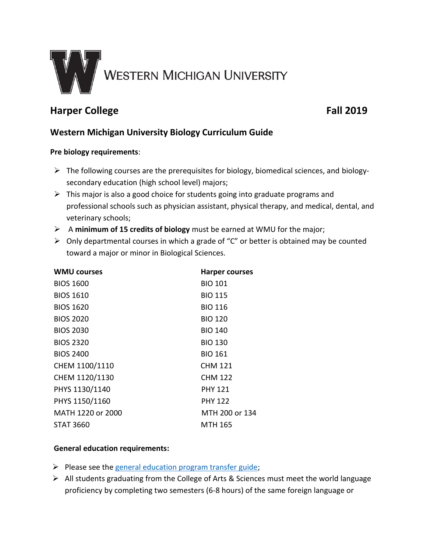

# **Harper College Fall 2019**

# **Western Michigan University Biology Curriculum Guide**

### **Pre biology requirements**:

- $\triangleright$  The following courses are the prerequisites for biology, biomedical sciences, and biologysecondary education (high school level) majors;
- $\triangleright$  This major is also a good choice for students going into graduate programs and professional schools such as physician assistant, physical therapy, and medical, dental, and veterinary schools;
- A **minimum of 15 credits of biology** must be earned at WMU for the major;
- $\triangleright$  Only departmental courses in which a grade of "C" or better is obtained may be counted toward a major or minor in Biological Sciences.

| <b>WMU courses</b> | <b>Harper courses</b> |
|--------------------|-----------------------|
| <b>BIOS 1600</b>   | <b>BIO 101</b>        |
| <b>BIOS 1610</b>   | <b>BIO 115</b>        |
| <b>BIOS 1620</b>   | <b>BIO 116</b>        |
| <b>BIOS 2020</b>   | <b>BIO 120</b>        |
| <b>BIOS 2030</b>   | <b>BIO 140</b>        |
| <b>BIOS 2320</b>   | <b>BIO 130</b>        |
| <b>BIOS 2400</b>   | <b>BIO 161</b>        |
| CHEM 1100/1110     | <b>CHM 121</b>        |
| CHEM 1120/1130     | <b>CHM 122</b>        |
| PHYS 1130/1140     | <b>PHY 121</b>        |
| PHYS 1150/1160     | <b>PHY 122</b>        |
| MATH 1220 or 2000  | MTH 200 or 134        |
| <b>STAT 3660</b>   | MTH 165               |
|                    |                       |

### **General education requirements:**

- $\triangleright$  Please see the [general education program transfer guide;](http://www.wmich.edu/admissions/transfer/guides/Harper/gened)
- $\triangleright$  All students graduating from the College of Arts & Sciences must meet the world language proficiency by completing two semesters (6-8 hours) of the same foreign language or